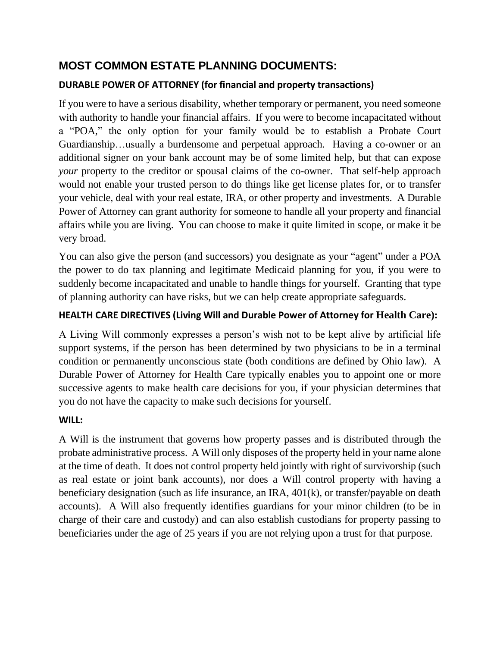# **MOST COMMON ESTATE PLANNING DOCUMENTS:**

## **DURABLE POWER OF ATTORNEY (for financial and property transactions)**

If you were to have a serious disability, whether temporary or permanent, you need someone with authority to handle your financial affairs. If you were to become incapacitated without a "POA," the only option for your family would be to establish a Probate Court Guardianship…usually a burdensome and perpetual approach. Having a co-owner or an additional signer on your bank account may be of some limited help, but that can expose *your* property to the creditor or spousal claims of the co-owner. That self-help approach would not enable your trusted person to do things like get license plates for, or to transfer your vehicle, deal with your real estate, IRA, or other property and investments. A Durable Power of Attorney can grant authority for someone to handle all your property and financial affairs while you are living. You can choose to make it quite limited in scope, or make it be very broad.

You can also give the person (and successors) you designate as your "agent" under a POA the power to do tax planning and legitimate Medicaid planning for you, if you were to suddenly become incapacitated and unable to handle things for yourself. Granting that type of planning authority can have risks, but we can help create appropriate safeguards.

### **HEALTH CARE DIRECTIVES (Living Will and Durable Power of Attorney for Health Care):**

A Living Will commonly expresses a person's wish not to be kept alive by artificial life support systems, if the person has been determined by two physicians to be in a terminal condition or permanently unconscious state (both conditions are defined by Ohio law). A Durable Power of Attorney for Health Care typically enables you to appoint one or more successive agents to make health care decisions for you, if your physician determines that you do not have the capacity to make such decisions for yourself.

#### **WILL:**

A Will is the instrument that governs how property passes and is distributed through the probate administrative process. A Will only disposes of the property held in your name alone at the time of death. It does not control property held jointly with right of survivorship (such as real estate or joint bank accounts), nor does a Will control property with having a beneficiary designation (such as life insurance, an IRA, 401(k), or transfer/payable on death accounts). A Will also frequently identifies guardians for your minor children (to be in charge of their care and custody) and can also establish custodians for property passing to beneficiaries under the age of 25 years if you are not relying upon a trust for that purpose.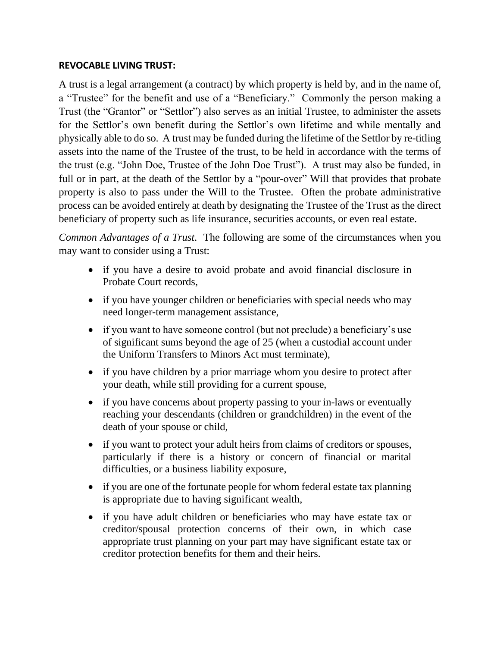#### **REVOCABLE LIVING TRUST:**

A trust is a legal arrangement (a contract) by which property is held by, and in the name of, a "Trustee" for the benefit and use of a "Beneficiary." Commonly the person making a Trust (the "Grantor" or "Settlor") also serves as an initial Trustee, to administer the assets for the Settlor's own benefit during the Settlor's own lifetime and while mentally and physically able to do so. A trust may be funded during the lifetime of the Settlor by re-titling assets into the name of the Trustee of the trust, to be held in accordance with the terms of the trust (e.g. "John Doe, Trustee of the John Doe Trust"). A trust may also be funded, in full or in part, at the death of the Settlor by a "pour-over" Will that provides that probate property is also to pass under the Will to the Trustee. Often the probate administrative process can be avoided entirely at death by designating the Trustee of the Trust as the direct beneficiary of property such as life insurance, securities accounts, or even real estate.

*Common Advantages of a Trust*. The following are some of the circumstances when you may want to consider using a Trust:

- if you have a desire to avoid probate and avoid financial disclosure in Probate Court records,
- if you have younger children or beneficiaries with special needs who may need longer-term management assistance,
- if you want to have someone control (but not preclude) a beneficiary's use of significant sums beyond the age of 25 (when a custodial account under the Uniform Transfers to Minors Act must terminate),
- if you have children by a prior marriage whom you desire to protect after your death, while still providing for a current spouse,
- if you have concerns about property passing to your in-laws or eventually reaching your descendants (children or grandchildren) in the event of the death of your spouse or child,
- if you want to protect your adult heirs from claims of creditors or spouses, particularly if there is a history or concern of financial or marital difficulties, or a business liability exposure,
- if you are one of the fortunate people for whom federal estate tax planning is appropriate due to having significant wealth,
- if you have adult children or beneficiaries who may have estate tax or creditor/spousal protection concerns of their own, in which case appropriate trust planning on your part may have significant estate tax or creditor protection benefits for them and their heirs.